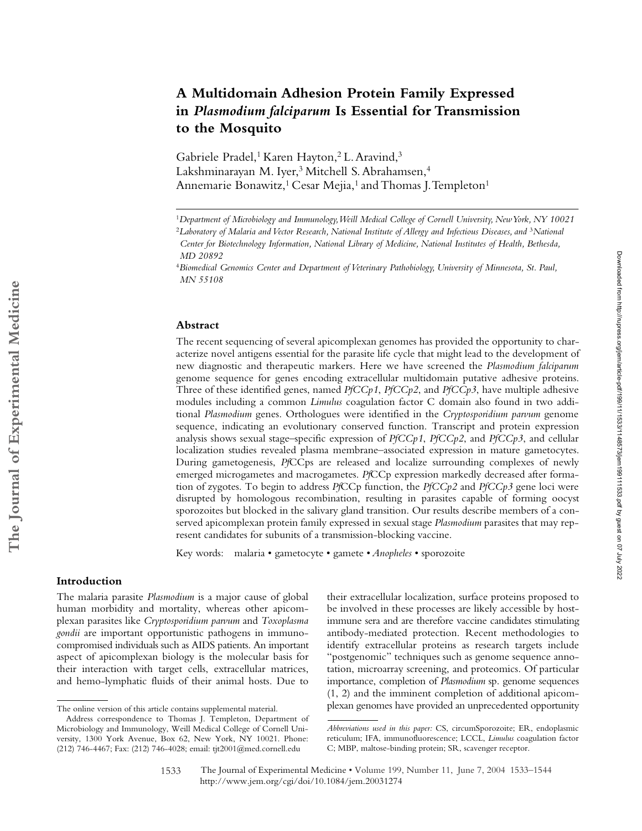# **A Multidomain Adhesion Protein Family Expressed in** *Plasmodium falciparum* **Is Essential for Transmission to the Mosquito**

Gabriele Pradel,<sup>1</sup> Karen Hayton,<sup>2</sup> L. Aravind,<sup>3</sup> Lakshminarayan M. Iyer,3 Mitchell S. Abrahamsen,4 Annemarie Bonawitz,<sup>1</sup> Cesar Mejia,<sup>1</sup> and Thomas J. Templeton<sup>1</sup>

#### **Abstract**

The recent sequencing of several apicomplexan genomes has provided the opportunity to characterize novel antigens essential for the parasite life cycle that might lead to the development of new diagnostic and therapeutic markers. Here we have screened the *Plasmodium falciparum* genome sequence for genes encoding extracellular multidomain putative adhesive proteins. Three of these identified genes, named *PfCCp1*, *PfCCp2*, and *PfCCp3*, have multiple adhesive modules including a common *Limulus* coagulation factor C domain also found in two additional *Plasmodium* genes. Orthologues were identified in the *Cryptosporidium parvum* genome sequence, indicating an evolutionary conserved function. Transcript and protein expression analysis shows sexual stage–specific expression of *PfCCp1*, *PfCCp2*, and *PfCCp3*, and cellular localization studies revealed plasma membrane–associated expression in mature gametocytes. During gametogenesis, *Pf*CCps are released and localize surrounding complexes of newly emerged microgametes and macrogametes. *Pf*CCp expression markedly decreased after formation of zygotes. To begin to address *Pf*CCp function, the *PfCCp2* and *PfCCp3* gene loci were disrupted by homologous recombination, resulting in parasites capable of forming oocyst sporozoites but blocked in the salivary gland transition. Our results describe members of a conserved apicomplexan protein family expressed in sexual stage *Plasmodium* parasites that may represent candidates for subunits of a transmission-blocking vaccine.

Key words: malaria • gametocyte • gamete • *Anopheles* • sporozoite

## **Introduction**

**The Journal of Experimental Medicine**

The Journal of Experimental Medicine

The malaria parasite *Plasmodium* is a major cause of global human morbidity and mortality, whereas other apicomplexan parasites like *Cryptosporidium parvum* and *Toxoplasma gondii* are important opportunistic pathogens in immunocompromised individuals such as AIDS patients. An important aspect of apicomplexan biology is the molecular basis for their interaction with target cells, extracellular matrices, and hemo-lymphatic fluids of their animal hosts. Due to

their extracellular localization, surface proteins proposed to be involved in these processes are likely accessible by hostimmune sera and are therefore vaccine candidates stimulating antibody-mediated protection. Recent methodologies to identify extracellular proteins as research targets include "postgenomic" techniques such as genome sequence annotation, microarray screening, and proteomics. Of particular importance, completion of *Plasmodium* sp. genome sequences (1, 2) and the imminent completion of additional apicomplexan genomes have provided an unprecedented opportunity The online version of this article contains supplemental material.

<sup>1</sup>*Department of Microbiology and Immunology, Weill Medical College of Cornell University, New York, NY 10021*

<sup>&</sup>lt;sup>2</sup>Laboratory of Malaria and Vector Research, National Institute of Allergy and Infectious Diseases, and <sup>3</sup>National *Center for Biotechnology Information, National Library of Medicine, National Institutes of Health, Bethesda,* 

*MD 20892*

<sup>4</sup>*Biomedical Genomics Center and Department of Veterinary Pathobiology, University of Minnesota, St. Paul, MN 55108*

Address correspondence to Thomas J. Templeton, Department of Microbiology and Immunology, Weill Medical College of Cornell University, 1300 York Avenue, Box 62, New York, NY 10021. Phone: (212) 746-4467; Fax: (212) 746-4028; email: tjt2001@med.cornell.edu

*Abbreviations used in this paper:* CS, circumSporozoite; ER, endoplasmic reticulum; IFA, immunofluorescence; LCCL, *Limulus* coagulation factor C; MBP, maltose-binding protein; SR, scavenger receptor.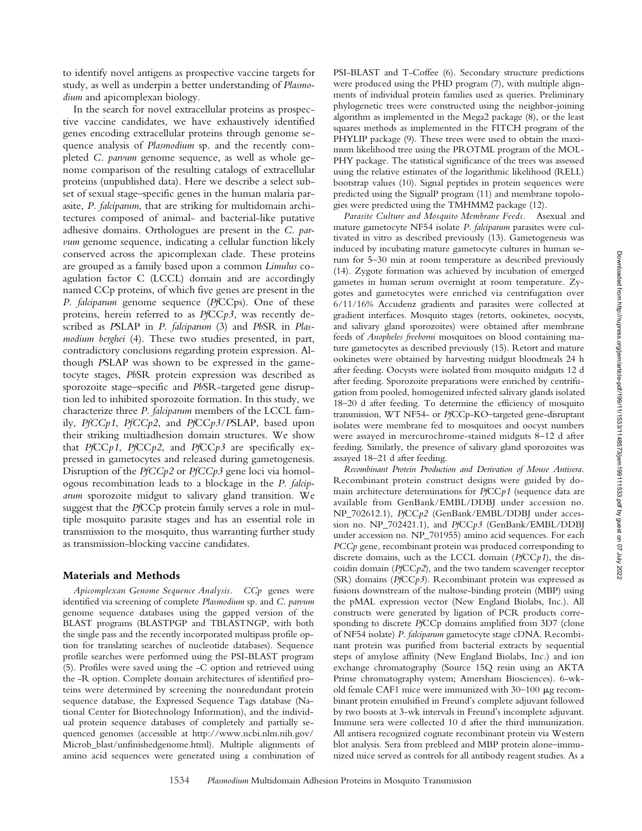to identify novel antigens as prospective vaccine targets for study, as well as underpin a better understanding of *Plasmodium* and apicomplexan biology.

In the search for novel extracellular proteins as prospective vaccine candidates, we have exhaustively identified genes encoding extracellular proteins through genome sequence analysis of *Plasmodium* sp. and the recently completed *C. parvum* genome sequence, as well as whole genome comparison of the resulting catalogs of extracellular proteins (unpublished data). Here we describe a select subset of sexual stage–specific genes in the human malaria parasite, *P. falciparum*, that are striking for multidomain architectures composed of animal- and bacterial-like putative adhesive domains. Orthologues are present in the *C. parvum* genome sequence, indicating a cellular function likely conserved across the apicomplexan clade. These proteins are grouped as a family based upon a common *Limulus* coagulation factor C (LCCL) domain and are accordingly named CCp proteins, of which five genes are present in the *P. falciparum* genome sequence (*Pf*CCps). One of these proteins, herein referred to as *Pf*CC*p3*, was recently described as *P*SLAP in *P. falciparum* (3) and *Pb*SR in *Plasmodium berghei* (4). These two studies presented, in part, contradictory conclusions regarding protein expression. Although *P*SLAP was shown to be expressed in the gametocyte stages, *Pb*SR protein expression was described as sporozoite stage–specific and *Pb*SR-targeted gene disruption led to inhibited sporozoite formation. In this study, we characterize three *P. falciparum* members of the LCCL family, *PfCCp1*, *PfCCp2*, and *Pf*CC*p3*/*P*SLAP, based upon their striking multiadhesion domain structures. We show that *Pf*CC*p1*, *Pf*CC*p2*, and *Pf*CC*p3* are specifically expressed in gametocytes and released during gametogenesis. Disruption of the *PfCCp2* or *PfCCp3* gene loci via homologous recombination leads to a blockage in the *P. falciparum* sporozoite midgut to salivary gland transition. We suggest that the *Pf*CCp protein family serves a role in multiple mosquito parasite stages and has an essential role in transmission to the mosquito, thus warranting further study as transmission-blocking vaccine candidates.

#### **Materials and Methods**

*Apicomplexan Genome Sequence Analysis. CCp* genes were identified via screening of complete *Plasmodium* sp. and *C. parvum* genome sequence databases using the gapped version of the BLAST programs (BLASTPGP and TBLASTNGP, with both the single pass and the recently incorporated multipass profile option for translating searches of nucleotide databases). Sequence profile searches were performed using the PSI-BLAST program (5). Profiles were saved using the -C option and retrieved using the -R option. Complete domain architectures of identified proteins were determined by screening the nonredundant protein sequence database, the Expressed Sequence Tags database (National Center for Biotechnology Information), and the individual protein sequence databases of completely and partially sequenced genomes (accessible at http://www.ncbi.nlm.nih.gov/ Microb\_blast/unfinishedgenome.html). Multiple alignments of amino acid sequences were generated using a combination of PSI-BLAST and T-Coffee (6). Secondary structure predictions were produced using the PHD program (7), with multiple alignments of individual protein families used as queries. Preliminary phylogenetic trees were constructed using the neighbor-joining algorithm as implemented in the Mega2 package (8), or the least squares methods as implemented in the FITCH program of the PHYLIP package (9). These trees were used to obtain the maximum likelihood tree using the PROTML program of the MOL-PHY package. The statistical significance of the trees was assessed using the relative estimates of the logarithmic likelihood (RELL) bootstrap values (10). Signal peptides in protein sequences were predicted using the SignalP program (11) and membrane topologies were predicted using the TMHMM2 package (12).

*Parasite Culture and Mosquito Membrane Feeds.* Asexual and mature gametocyte NF54 isolate *P. falciparum* parasites were cultivated in vitro as described previously (13). Gametogenesis was induced by incubating mature gametocyte cultures in human serum for 5–30 min at room temperature as described previously (14). Zygote formation was achieved by incubation of emerged gametes in human serum overnight at room temperature. Zygotes and gametocytes were enriched via centrifugation over 6/11/16% Accudenz gradients and parasites were collected at gradient interfaces. Mosquito stages (retorts, ookinetes, oocysts, and salivary gland sporozoites) were obtained after membrane feeds of *Anopheles freeborni* mosquitoes on blood containing mature gametocytes as described previously (15). Retort and mature ookinetes were obtained by harvesting midgut bloodmeals 24 h after feeding. Oocysts were isolated from mosquito midguts 12 d after feeding. Sporozoite preparations were enriched by centrifugation from pooled, homogenized infected salivary glands isolated 18–20 d after feeding. To determine the efficiency of mosquito transmission, WT NF54- or *Pf*CCp-KO–targeted gene-disruptant isolates were membrane fed to mosquitoes and oocyst numbers were assayed in mercurochrome-stained midguts 8–12 d after feeding. Similarly, the presence of salivary gland sporozoites was assayed 18–21 d after feeding.

*Recombinant Protein Production and Derivation of Mouse Antisera.* Recombinant protein construct designs were guided by domain architecture determinations for *Pf*CC*p1* (sequence data are available from GenBank/EMBL/DDBJ under accession no. NP\_702612.1), *Pf*CC*p2* (GenBank/EMBL/DDBJ under accession no. NP\_702421.1), and *Pf*CC*p3* (GenBank/EMBL/DDBJ under accession no. NP\_701955) amino acid sequences. For each *PCCp* gene, recombinant protein was produced corresponding to discrete domains, such as the LCCL domain (*Pf*CC*p1*), the discoidin domain (*Pf*CC*p2*), and the two tandem scavenger receptor (SR) domains (*Pf*CC*p3*). Recombinant protein was expressed as fusions downstream of the maltose-binding protein (MBP) using the pMAL expression vector (New England Biolabs, Inc.). All constructs were generated by ligation of PCR products corresponding to discrete *Pf*CCp domains amplified from 3D7 (clone of NF54 isolate) *P. falciparum* gametocyte stage cDNA. Recombinant protein was purified from bacterial extracts by sequential steps of amylose affinity (New England Biolabs, Inc.) and ion exchange chromatography (Source 15Q resin using an AKTA Prime chromatography system; Amersham Biosciences). 6-wkold female CAF1 mice were immunized with  $30-100$   $\mu$ g recombinant protein emulsified in Freund's complete adjuvant followed by two boosts at 3-wk intervals in Freund's incomplete adjuvant. Immune sera were collected 10 d after the third immunization. All antisera recognized cognate recombinant protein via Western blot analysis. Sera from prebleed and MBP protein alone–immunized mice served as controls for all antibody reagent studies. As a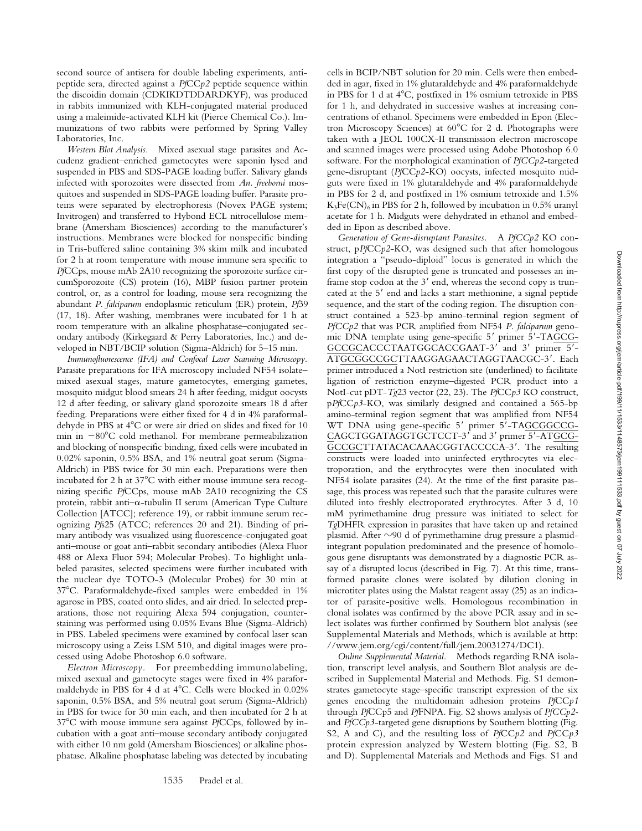second source of antisera for double labeling experiments, antipeptide sera, directed against a *Pf*CC*p2* peptide sequence within the discoidin domain (CDKIKDTDDARDKYF), was produced in rabbits immunized with KLH-conjugated material produced using a maleimide-activated KLH kit (Pierce Chemical Co.). Immunizations of two rabbits were performed by Spring Valley Laboratories, Inc.

*Western Blot Analysis.* Mixed asexual stage parasites and Accudenz gradient–enriched gametocytes were saponin lysed and suspended in PBS and SDS-PAGE loading buffer. Salivary glands infected with sporozoites were dissected from *An. freeborni* mosquitoes and suspended in SDS-PAGE loading buffer. Parasite proteins were separated by electrophoresis (Novex PAGE system; Invitrogen) and transferred to Hybond ECL nitrocellulose membrane (Amersham Biosciences) according to the manufacturer's instructions. Membranes were blocked for nonspecific binding in Tris-buffered saline containing 3% skim milk and incubated for 2 h at room temperature with mouse immune sera specific to *Pf*CCps, mouse mAb 2A10 recognizing the sporozoite surface circumSporozoite (CS) protein (16), MBP fusion partner protein control, or, as a control for loading, mouse sera recognizing the abundant *P. falciparum* endoplasmic reticulum (ER) protein, *Pf*39 (17, 18). After washing, membranes were incubated for 1 h at room temperature with an alkaline phosphatase–conjugated secondary antibody (Kirkegaard & Perry Laboratories, Inc.) and developed in NBT/BCIP solution (Sigma-Aldrich) for 5–15 min.

*Immunofluorescence (IFA) and Confocal Laser Scanning Microscopy.* Parasite preparations for IFA microscopy included NF54 isolate– mixed asexual stages, mature gametocytes, emerging gametes, mosquito midgut blood smears 24 h after feeding, midgut oocysts 12 d after feeding, or salivary gland sporozoite smears 18 d after feeding. Preparations were either fixed for 4 d in 4% paraformaldehyde in PBS at 4°C or were air dried on slides and fixed for 10 min in  $-80^{\circ}$ C cold methanol. For membrane permeabilization and blocking of nonspecific binding, fixed cells were incubated in 0.02% saponin, 0.5% BSA, and 1% neutral goat serum (Sigma-Aldrich) in PBS twice for 30 min each. Preparations were then incubated for 2 h at  $37^{\circ}$ C with either mouse immune sera recognizing specific *Pf*CCps, mouse mAb 2A10 recognizing the CS protein, rabbit anti- $\alpha$ -tubulin II serum (American Type Culture Collection [ATCC]; reference 19), or rabbit immune serum recognizing *Pf*s25 (ATCC; references 20 and 21). Binding of primary antibody was visualized using fluorescence-conjugated goat anti–mouse or goat anti–rabbit secondary antibodies (Alexa Fluor 488 or Alexa Fluor 594; Molecular Probes). To highlight unlabeled parasites, selected specimens were further incubated with the nuclear dye TOTO-3 (Molecular Probes) for 30 min at 37C. Paraformaldehyde-fixed samples were embedded in 1% agarose in PBS, coated onto slides, and air dried. In selected preparations, those not requiring Alexa 594 conjugation, counterstaining was performed using 0.05% Evans Blue (Sigma-Aldrich) in PBS. Labeled specimens were examined by confocal laser scan microscopy using a Zeiss LSM 510, and digital images were processed using Adobe Photoshop 6.0 software.

*Electron Microscopy.* For preembedding immunolabeling, mixed asexual and gametocyte stages were fixed in 4% paraformaldehyde in PBS for 4 d at  $4^{\circ}$ C. Cells were blocked in 0.02% saponin, 0.5% BSA, and 5% neutral goat serum (Sigma-Aldrich) in PBS for twice for 30 min each, and then incubated for 2 h at 37C with mouse immune sera against *Pf*CCps, followed by incubation with a goat anti–mouse secondary antibody conjugated with either 10 nm gold (Amersham Biosciences) or alkaline phosphatase. Alkaline phosphatase labeling was detected by incubating cells in BCIP/NBT solution for 20 min. Cells were then embedded in agar, fixed in 1% glutaraldehyde and 4% paraformaldehyde in PBS for 1 d at 4°C, postfixed in 1% osmium tetroxide in PBS for 1 h, and dehydrated in successive washes at increasing concentrations of ethanol. Specimens were embedded in Epon (Electron Microscopy Sciences) at  $60^{\circ}$ C for 2 d. Photographs were taken with a JEOL 100CX-II transmission electron microscope and scanned images were processed using Adobe Photoshop 6.0 software. For the morphological examination of *PfCCp2*-targeted gene-disruptant (*Pf*CC*p2*-KO) oocysts, infected mosquito midguts were fixed in 1% glutaraldehyde and 4% paraformaldehyde in PBS for 2 d, and postfixed in 1% osmium tetroxide and 1.5%  $K_3Fe(CN)_{6}$  in PBS for 2 h, followed by incubation in 0.5% uranyl acetate for 1 h. Midguts were dehydrated in ethanol and embedded in Epon as described above.

*Generation of Gene-disruptant Parasites.* A *PfCCp2* KO construct, p*Pf*CC*p2*-KO, was designed such that after homologous integration a "pseudo-diploid" locus is generated in which the first copy of the disrupted gene is truncated and possesses an inframe stop codon at the  $3'$  end, whereas the second copy is truncated at the 5' end and lacks a start methionine, a signal peptide sequence, and the start of the coding region. The disruption construct contained a 523-bp amino-terminal region segment of *PfCCp2* that was PCR amplified from NF54 *P. falciparum* genomic DNA template using gene-specific 5' primer 5'-TAGCG-GCCGCACCCTAATGGCACCGAAT-3' and 3' primer 5'-ATGCGGCCGCTTAAGGAGAACTAGGTAACGC-3. Each primer introduced a NotI restriction site (underlined) to facilitate ligation of restriction enzyme–digested PCR product into a NotI-cut pDT-*Tg*23 vector (22, 23). The *Pf*CC*p3* KO construct, p*Pf*CC*p3*-KO, was similarly designed and contained a 565-bp amino-terminal region segment that was amplified from NF54 WT DNA using gene-specific 5' primer 5'-TAGCGGCCG-CAGCTGGATAGGTGCTCCT-3' and 3' primer 5'-ATGCG-GCCGCTTATACACAAACGGTACCCCA-3'. The resulting constructs were loaded into uninfected erythrocytes via electroporation, and the erythrocytes were then inoculated with NF54 isolate parasites (24). At the time of the first parasite passage, this process was repeated such that the parasite cultures were diluted into freshly electroporated erythrocytes. After 3 d, 10 mM pyrimethamine drug pressure was initiated to select for *Tg*DHFR expression in parasites that have taken up and retained plasmid. After -90 d of pyrimethamine drug pressure a plasmidintegrant population predominated and the presence of homologous gene disruptants was demonstrated by a diagnostic PCR assay of a disrupted locus (described in Fig. 7). At this time, transformed parasite clones were isolated by dilution cloning in microtiter plates using the Malstat reagent assay (25) as an indicator of parasite-positive wells. Homologous recombination in clonal isolates was confirmed by the above PCR assay and in select isolates was further confirmed by Southern blot analysis (see Supplemental Materials and Methods, which is available at http: //www.jem.org/cgi/content/full/jem.20031274/DC1).

*Online Supplemental Material.* Methods regarding RNA isolation, transcript level analysis, and Southern Blot analysis are described in Supplemental Material and Methods. Fig. S1 demonstrates gametocyte stage–specific transcript expression of the six genes encoding the multidomain adhesion proteins *Pf*CC*p1* through *Pf*CCp5 and *Pf*FNPA. Fig. S2 shows analysis of *PfCCp2* and *PfCCp3*-targeted gene disruptions by Southern blotting (Fig. S2, A and C), and the resulting loss of *Pf*CC*p2* and *Pf*CC*p3* protein expression analyzed by Western blotting (Fig. S2, B and D). Supplemental Materials and Methods and Figs. S1 and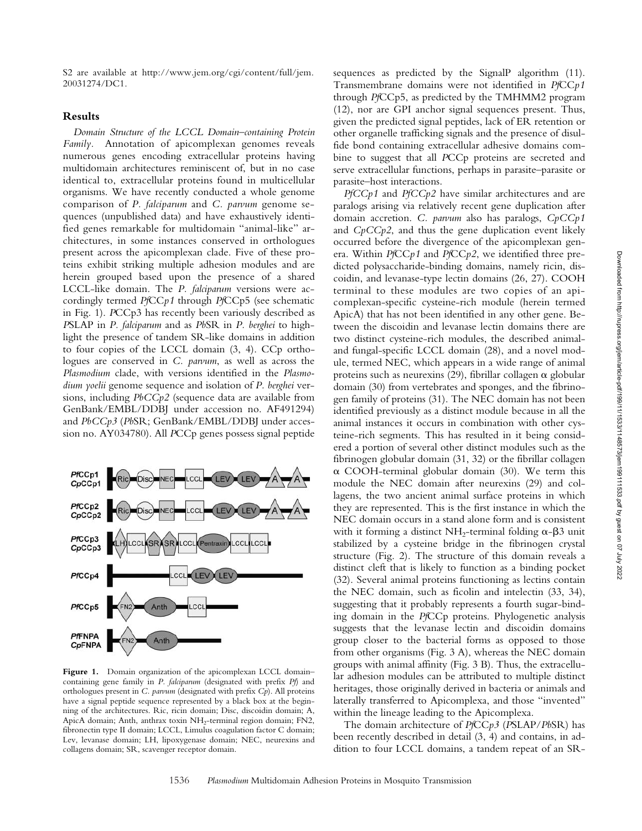S2 are available at http://www.jem.org/cgi/content/full/jem. 20031274/DC1.

### **Results**

*Domain Structure of the LCCL Domain–containing Protein Family.* Annotation of apicomplexan genomes reveals numerous genes encoding extracellular proteins having multidomain architectures reminiscent of, but in no case identical to, extracellular proteins found in multicellular organisms. We have recently conducted a whole genome comparison of *P. falciparum* and *C. parvum* genome sequences (unpublished data) and have exhaustively identified genes remarkable for multidomain "animal-like" architectures, in some instances conserved in orthologues present across the apicomplexan clade. Five of these proteins exhibit striking multiple adhesion modules and are herein grouped based upon the presence of a shared LCCL-like domain. The *P. falciparum* versions were accordingly termed *Pf*CC*p1* through *Pf*CCp5 (see schematic in Fig. 1). *P*CCp3 has recently been variously described as *P*SLAP in *P. falciparum* and as *Pb*SR in *P. berghei* to highlight the presence of tandem SR-like domains in addition to four copies of the LCCL domain (3, 4). CCp orthologues are conserved in *C. parvum*, as well as across the *Plasmodium* clade, with versions identified in the *Plasmodium yoelii* genome sequence and isolation of *P. berghei* versions, including *PbCCp2* (sequence data are available from GenBank/EMBL/DDBJ under accession no. AF491294) and *PbCCp3* (*Pb*SR; GenBank/EMBL/DDBJ under accession no. AY034780). All *P*CCp genes possess signal peptide



Figure 1. Domain organization of the apicomplexan LCCL domaincontaining gene family in *P. falciparum* (designated with prefix *Pf*) and orthologues present in *C. parvum* (designated with prefix *Cp*). All proteins have a signal peptide sequence represented by a black box at the beginning of the architectures. Ric, ricin domain; Disc, discoidin domain; A, ApicA domain; Anth, anthrax toxin NH<sub>2</sub>-terminal region domain; FN2, fibronectin type II domain; LCCL, Limulus coagulation factor C domain; Lev, levanase domain; LH, lipoxygenase domain; NEC, neurexins and collagens domain; SR, scavenger receptor domain.

sequences as predicted by the SignalP algorithm (11). Transmembrane domains were not identified in *Pf*CC*p1* through *Pf*CCp5, as predicted by the TMHMM2 program (12), nor are GPI anchor signal sequences present. Thus, given the predicted signal peptides, lack of ER retention or other organelle trafficking signals and the presence of disulfide bond containing extracellular adhesive domains combine to suggest that all *P*CCp proteins are secreted and serve extracellular functions, perhaps in parasite–parasite or parasite–host interactions.

*PfCCp1* and *PfCCp2* have similar architectures and are paralogs arising via relatively recent gene duplication after domain accretion. *C. parvum* also has paralogs, *CpCCp1* and *CpCCp2*, and thus the gene duplication event likely occurred before the divergence of the apicomplexan genera. Within *Pf*CC*p1* and *Pf*CC*p2*, we identified three predicted polysaccharide-binding domains, namely ricin, discoidin, and levanase-type lectin domains (26, 27). COOH terminal to these modules are two copies of an apicomplexan-specific cysteine-rich module (herein termed ApicA) that has not been identified in any other gene. Between the discoidin and levanase lectin domains there are two distinct cysteine-rich modules, the described animaland fungal-specific LCCL domain (28), and a novel module, termed NEC, which appears in a wide range of animal proteins such as neurexins (29), fibrillar collagen  $\alpha$  globular domain (30) from vertebrates and sponges, and the fibrinogen family of proteins (31). The NEC domain has not been identified previously as a distinct module because in all the animal instances it occurs in combination with other cysteine-rich segments. This has resulted in it being considered a portion of several other distinct modules such as the fibrinogen globular domain (31, 32) or the fibrillar collagen  $\alpha$  COOH-terminal globular domain (30). We term this module the NEC domain after neurexins (29) and collagens, the two ancient animal surface proteins in which they are represented. This is the first instance in which the NEC domain occurs in a stand alone form and is consistent with it forming a distinct NH<sub>2</sub>-terminal folding  $\alpha$ - $\beta$ 3 unit stabilized by a cysteine bridge in the fibrinogen crystal structure (Fig. 2). The structure of this domain reveals a distinct cleft that is likely to function as a binding pocket (32). Several animal proteins functioning as lectins contain the NEC domain, such as ficolin and intelectin (33, 34), suggesting that it probably represents a fourth sugar-binding domain in the *Pf*CCp proteins. Phylogenetic analysis suggests that the levanase lectin and discoidin domains group closer to the bacterial forms as opposed to those from other organisms (Fig. 3 A), whereas the NEC domain groups with animal affinity (Fig. 3 B). Thus, the extracellular adhesion modules can be attributed to multiple distinct heritages, those originally derived in bacteria or animals and laterally transferred to Apicomplexa, and those "invented" within the lineage leading to the Apicomplexa.

The domain architecture of *Pf*CC*p3* (*P*SLAP/*Pb*SR) has been recently described in detail (3, 4) and contains, in addition to four LCCL domains, a tandem repeat of an SR-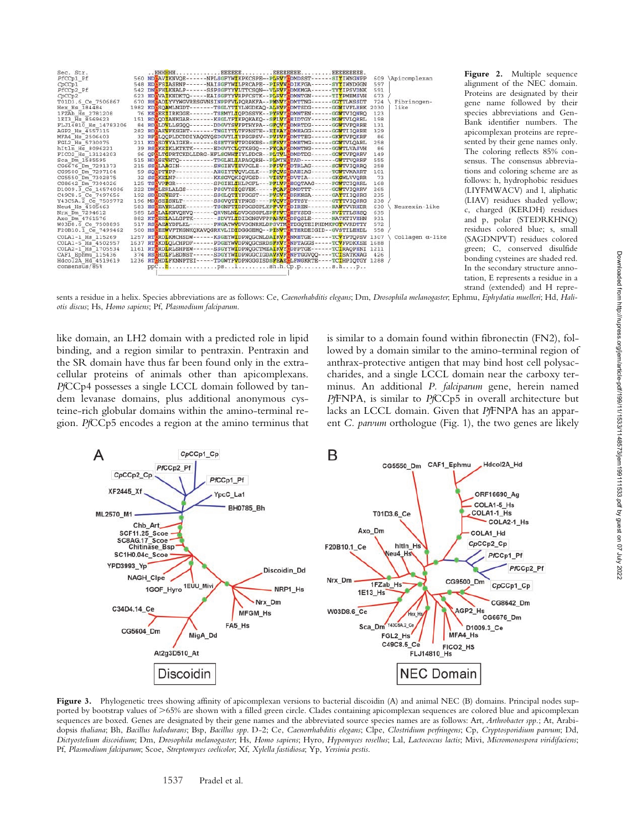

Figure 2. Multiple sequence alignment of the NEC domain. Proteins are designated by their gene name followed by their species abbreviations and Gen-Bank identifier numbers. The apicomplexan proteins are represented by their gene names only. The coloring reflects 85% consensus. The consensus abbreviations and coloring scheme are as follows: h, hydrophobic residues (LIYFMWACV) and l, aliphatic (LIAV) residues shaded yellow; c, charged (KERDH) residues and p, polar (STEDRKHNQ) residues colored blue; s, small (SAGDNPVT) residues colored green; C, conserved disulfide bonding cysteines are shaded red. In the secondary structure annotation, E represents a residue in a strand (extended) and H repre-

sents a residue in a helix. Species abbreviations are as follows: Ce, *Caenorhabditis elegans*; Dm, *Drosophila melanogaster*; Ephmu, *Ephydatia muelleri*; Hd, *Haliotis discus*; Hs, *Homo sapiens*; Pf, *Plasmodium falciparum*.

like domain, an LH2 domain with a predicted role in lipid binding, and a region similar to pentraxin. Pentraxin and the SR domain have thus far been found only in the extracellular proteins of animals other than apicomplexans. *Pf*CCp4 possesses a single LCCL domain followed by tandem levanase domains, plus additional anonymous cysteine-rich globular domains within the amino-terminal region. *Pf*CCp5 encodes a region at the amino terminus that is similar to a domain found within fibronectin (FN2), followed by a domain similar to the amino-terminal region of anthrax-protective antigen that may bind host cell polysaccharides, and a single LCCL domain near the carboxy terminus. An additional *P. falciparum* gene, herein named *Pf*FNPA, is similar to *Pf*CCp5 in overall architecture but lacks an LCCL domain. Given that *Pf*FNPA has an apparent *C. parvum* orthologue (Fig. 1), the two genes are likely



Figure 3. Phylogenetic trees showing affinity of apicomplexan versions to bacterial discoidin (A) and animal NEC (B) domains. Principal nodes supported by bootstrap values of >65% are shown with a filled green circle. Clades containing apicomplexan sequences are colored blue and apicomplexan sequences are boxed. Genes are designated by their gene names and the abbreviated source species names are as follows: Art, *Arthrobacter spp.*; At, Arabidopsis *thaliana*; Bh, *Bacillus halodurans*; Bsp, *Bacillus spp*. D-2; Ce, *Caenorrhabditis elegans*; Clpe, *Clostridium perfringens*; Cp, *Cryptosporidium parvum*; Dd, *Dictyostelium discoidium*; Dm, *Drosophila melanogaster*; Hs, *Homo sapiens*; Hyro, *Hypomyces rosellus*; Lal, *Lactococcus lactis*; Mivi, *Micromonospora viridifaciens*; Pf, *Plasmodium falciparum*; Scoe, *Streptomyces coelicolor*; Xf, *Xylella fastidiosa*; Yp, *Yersinia pestis*.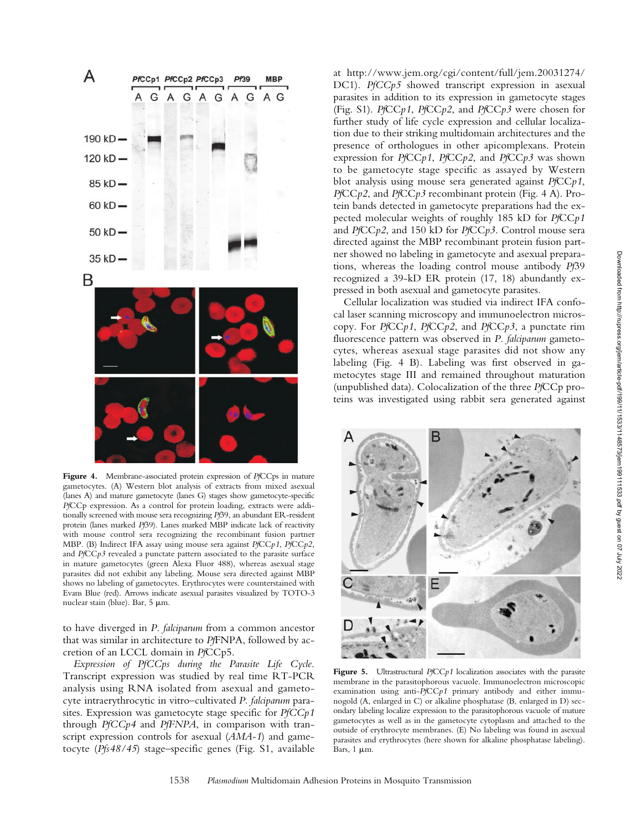

**Figure 4.** Membrane-associated protein expression of *Pf*CCps in mature gametocytes. (A) Western blot analysis of extracts from mixed asexual (lanes A) and mature gametocyte (lanes G) stages show gametocyte-specific *Pf*CCp expression. As a control for protein loading, extracts were additionally screened with mouse sera recognizing *Pf*39, an abundant ER-resident protein (lanes marked *Pf*39). Lanes marked MBP indicate lack of reactivity with mouse control sera recognizing the recombinant fusion partner MBP. (B) Indirect IFA assay using mouse sera against *Pf*CC*p1*, *Pf*CC*p2*, and *Pf*CC*p3* revealed a punctate pattern associated to the parasite surface in mature gametocytes (green Alexa Fluor 488), whereas asexual stage parasites did not exhibit any labeling. Mouse sera directed against MBP shows no labeling of gametocytes. Erythrocytes were counterstained with Evans Blue (red). Arrows indicate asexual parasites visualized by TOTO-3 nuclear stain (blue). Bar, 5 µm.

to have diverged in *P. falciparum* from a common ancestor that was similar in architecture to *Pf*FNPA, followed by accretion of an LCCL domain in *Pf*CCp5.

*Expression of PfCCps during the Parasite Life Cycle.* Transcript expression was studied by real time RT-PCR analysis using RNA isolated from asexual and gametocyte intraerythrocytic in vitro–cultivated *P. falciparum* parasites. Expression was gametocyte stage specific for *PfCCp1* through *PfCCp4* and *PfFNPA*, in comparison with transcript expression controls for asexual (*AMA-1*) and gametocyte (*Pfs48/45*) stage–specific genes (Fig. S1, available

at http://www.jem.org/cgi/content/full/jem.20031274/ DC1). *PfCCp5* showed transcript expression in asexual parasites in addition to its expression in gametocyte stages (Fig. S1). *Pf*CC*p1*, *Pf*CC*p2*, and *Pf*CC*p3* were chosen for further study of life cycle expression and cellular localization due to their striking multidomain architectures and the presence of orthologues in other apicomplexans. Protein expression for *Pf*CC*p1*, *Pf*CC*p2*, and *Pf*CC*p3* was shown to be gametocyte stage specific as assayed by Western blot analysis using mouse sera generated against *Pf*CC*p1*, *Pf*CC*p2*, and *Pf*CC*p3* recombinant protein (Fig. 4 A). Protein bands detected in gametocyte preparations had the expected molecular weights of roughly 185 kD for *Pf*CC*p1* and *Pf*CC*p2*, and 150 kD for *Pf*CC*p3*. Control mouse sera directed against the MBP recombinant protein fusion partner showed no labeling in gametocyte and asexual preparations, whereas the loading control mouse antibody *Pf*39 recognized a 39-kD ER protein (17, 18) abundantly expressed in both asexual and gametocyte parasites.

Cellular localization was studied via indirect IFA confocal laser scanning microscopy and immunoelectron microscopy. For *Pf*CC*p1*, *Pf*CC*p2*, and *Pf*CC*p3*, a punctate rim fluorescence pattern was observed in *P. falciparum* gametocytes, whereas asexual stage parasites did not show any labeling (Fig. 4 B). Labeling was first observed in gametocytes stage III and remained throughout maturation (unpublished data). Colocalization of the three *Pf*CCp proteins was investigated using rabbit sera generated against



**Figure 5.** Ultrastructural *Pf*CC*p1* localization associates with the parasite membrane in the parasitophorous vacuole. Immunoelectron microscopic examination using anti-*Pf*CC*p1* primary antibody and either immunogold (A, enlarged in C) or alkaline phosphatase (B, enlarged in D) secondary labeling localize expression to the parasitophorous vacuole of mature gametocytes as well as in the gametocyte cytoplasm and attached to the outside of erythrocyte membranes. (E) No labeling was found in asexual parasites and erythrocytes (here shown for alkaline phosphatase labeling). Bars,  $1 \mu m$ .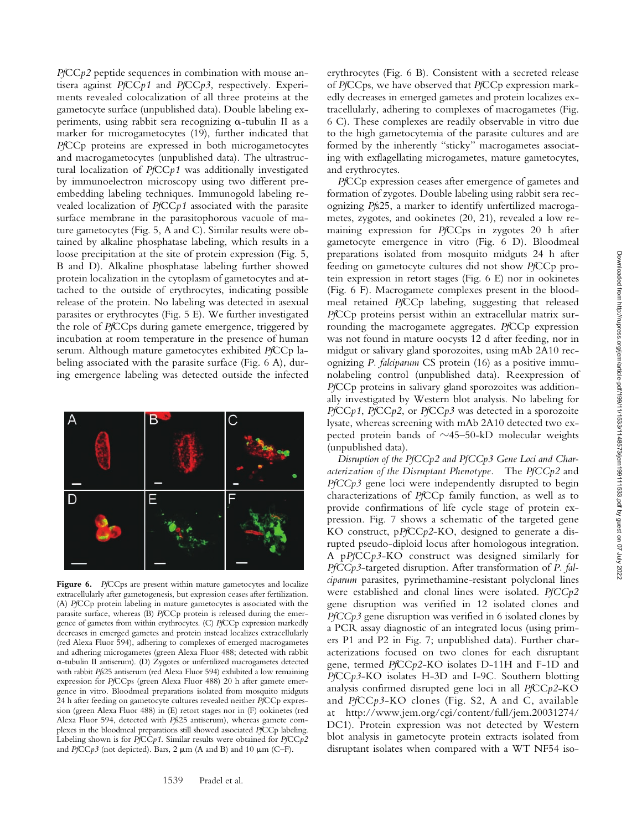*Pf*CC*p2* peptide sequences in combination with mouse antisera against *Pf*CC*p1* and *Pf*CC*p3*, respectively. Experiments revealed colocalization of all three proteins at the gametocyte surface (unpublished data). Double labeling experiments, using rabbit sera recognizing  $\alpha$ -tubulin II as a marker for microgametocytes (19), further indicated that *Pf*CCp proteins are expressed in both microgametocytes and macrogametocytes (unpublished data). The ultrastructural localization of *Pf*CC*p1* was additionally investigated by immunoelectron microscopy using two different preembedding labeling techniques. Immunogold labeling revealed localization of *Pf*CC*p1* associated with the parasite surface membrane in the parasitophorous vacuole of mature gametocytes (Fig. 5, A and C). Similar results were obtained by alkaline phosphatase labeling, which results in a loose precipitation at the site of protein expression (Fig. 5, B and D). Alkaline phosphatase labeling further showed protein localization in the cytoplasm of gametocytes and attached to the outside of erythrocytes, indicating possible release of the protein. No labeling was detected in asexual parasites or erythrocytes (Fig. 5 E). We further investigated the role of *Pf*CCps during gamete emergence, triggered by incubation at room temperature in the presence of human serum. Although mature gametocytes exhibited *Pf*CCp labeling associated with the parasite surface (Fig. 6 A), during emergence labeling was detected outside the infected



Figure 6. PfCCps are present within mature gametocytes and localize extracellularly after gametogenesis, but expression ceases after fertilization. (A) *Pf*CCp protein labeling in mature gametocytes is associated with the parasite surface, whereas (B) *Pf*CCp protein is released during the emergence of gametes from within erythrocytes. (C) *Pf*CCp expression markedly decreases in emerged gametes and protein instead localizes extracellularly (red Alexa Fluor 594), adhering to complexes of emerged macrogametes and adhering microgametes (green Alexa Fluor 488; detected with rabbit -tubulin II antiserum). (D) Zygotes or unfertilized macrogametes detected with rabbit *Pf*s25 antiserum (red Alexa Fluor 594) exhibited a low remaining expression for *Pf*CCps (green Alexa Fluor 488) 20 h after gamete emergence in vitro. Bloodmeal preparations isolated from mosquito midguts 24 h after feeding on gametocyte cultures revealed neither *Pf*CCp expression (green Alexa Fluor 488) in (E) retort stages nor in (F) ookinetes (red Alexa Fluor 594, detected with *Pf*s25 antiserum), whereas gamete complexes in the bloodmeal preparations still showed associated *Pf*CCp labeling. Labeling shown is for *Pf*CC*p1*. Similar results were obtained for *Pf*CC*p2* and  $PfCCp3$  (not depicted). Bars,  $2 \mu m$  (A and B) and  $10 \mu m$  (C-F).

erythrocytes (Fig. 6 B). Consistent with a secreted release of *Pf*CCps, we have observed that *Pf*CCp expression markedly decreases in emerged gametes and protein localizes extracellularly, adhering to complexes of macrogametes (Fig. 6 C). These complexes are readily observable in vitro due to the high gametocytemia of the parasite cultures and are formed by the inherently "sticky" macrogametes associating with exflagellating microgametes, mature gametocytes, and erythrocytes.

*Pf*CCp expression ceases after emergence of gametes and formation of zygotes. Double labeling using rabbit sera recognizing *Pf*s25, a marker to identify unfertilized macrogametes, zygotes, and ookinetes (20, 21), revealed a low remaining expression for *Pf*CCps in zygotes 20 h after gametocyte emergence in vitro (Fig. 6 D). Bloodmeal preparations isolated from mosquito midguts 24 h after feeding on gametocyte cultures did not show *Pf*CCp protein expression in retort stages (Fig. 6 E) nor in ookinetes (Fig. 6 F). Macrogamete complexes present in the bloodmeal retained *Pf*CCp labeling, suggesting that released *Pf*CCp proteins persist within an extracellular matrix surrounding the macrogamete aggregates. *Pf*CCp expression was not found in mature oocysts 12 d after feeding, nor in midgut or salivary gland sporozoites, using mAb 2A10 recognizing *P. falciparum* CS protein (16) as a positive immunolabeling control (unpublished data). Reexpression of *Pf*CCp proteins in salivary gland sporozoites was additionally investigated by Western blot analysis. No labeling for *Pf*CC*p1*, *Pf*CC*p2*, or *Pf*CC*p3* was detected in a sporozoite lysate, whereas screening with mAb 2A10 detected two expected protein bands of  $\sim$ 45–50-kD molecular weights (unpublished data).

*Disruption of the PfCCp2 and PfCCp3 Gene Loci and Characterization of the Disruptant Phenotype.* The *PfCCp2* and *PfCCp3* gene loci were independently disrupted to begin characterizations of *Pf*CCp family function, as well as to provide confirmations of life cycle stage of protein expression. Fig. 7 shows a schematic of the targeted gene KO construct, p*Pf*CC*p2*-KO, designed to generate a disrupted pseudo-diploid locus after homologous integration. A p*Pf*CC*p3*-KO construct was designed similarly for *PfCCp3*-targeted disruption. After transformation of *P. falciparum* parasites, pyrimethamine-resistant polyclonal lines were established and clonal lines were isolated. *PfCCp2* gene disruption was verified in 12 isolated clones and *PfCCp3* gene disruption was verified in 6 isolated clones by a PCR assay diagnostic of an integrated locus (using primers P1 and P2 in Fig. 7; unpublished data). Further characterizations focused on two clones for each disruptant gene, termed *Pf*CC*p2*-KO isolates D-11H and F-1D and *Pf*CC*p3*-KO isolates H-3D and I-9C. Southern blotting analysis confirmed disrupted gene loci in all *Pf*CC*p2*-KO and *Pf*CC*p3*-KO clones (Fig. S2, A and C, available at http://www.jem.org/cgi/content/full/jem.20031274/ DC1). Protein expression was not detected by Western blot analysis in gametocyte protein extracts isolated from disruptant isolates when compared with a WT NF54 iso-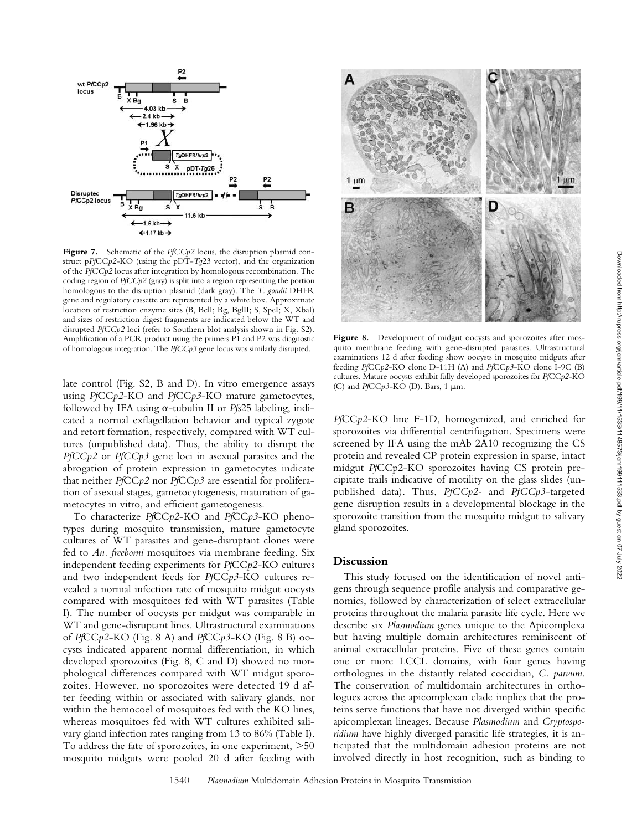

Figure 7. Schematic of the *PfCCp2* locus, the disruption plasmid construct p*Pf*CC*p2*-KO (using the pDT-*Tg*23 vector), and the organization of the *PfCCp2* locus after integration by homologous recombination. The coding region of *PfCCp2* (gray) is split into a region representing the portion homologous to the disruption plasmid (dark gray). The *T. gondii* DHFR gene and regulatory cassette are represented by a white box. Approximate location of restriction enzyme sites (B, BclI; Bg, BglII; S, SpeI; X, XbaI) and sizes of restriction digest fragments are indicated below the WT and disrupted *PfCCp2* loci (refer to Southern blot analysis shown in Fig. S2). Amplification of a PCR product using the primers P1 and P2 was diagnostic of homologous integration. The *PfCCp3* gene locus was similarly disrupted.

late control (Fig. S2, B and D). In vitro emergence assays using *Pf*CC*p2*-KO and *Pf*CC*p3*-KO mature gametocytes, followed by IFA using  $\alpha$ -tubulin II or *Pfs*25 labeling, indicated a normal exflagellation behavior and typical zygote and retort formation, respectively, compared with WT cultures (unpublished data). Thus, the ability to disrupt the *PfCCp2* or *PfCCp3* gene loci in asexual parasites and the abrogation of protein expression in gametocytes indicate that neither *Pf*CC*p2* nor *Pf*CC*p3* are essential for proliferation of asexual stages, gametocytogenesis, maturation of gametocytes in vitro, and efficient gametogenesis.

To characterize *Pf*CC*p2*-KO and *Pf*CC*p3*-KO phenotypes during mosquito transmission, mature gametocyte cultures of WT parasites and gene-disruptant clones were fed to *An. freeborni* mosquitoes via membrane feeding. Six independent feeding experiments for *Pf*CC*p2*-KO cultures and two independent feeds for *Pf*CC*p3*-KO cultures revealed a normal infection rate of mosquito midgut oocysts compared with mosquitoes fed with WT parasites (Table I). The number of oocysts per midgut was comparable in WT and gene-disruptant lines. Ultrastructural examinations of *Pf*CC*p2*-KO (Fig. 8 A) and *Pf*CC*p3*-KO (Fig. 8 B) oocysts indicated apparent normal differentiation, in which developed sporozoites (Fig. 8, C and D) showed no morphological differences compared with WT midgut sporozoites. However, no sporozoites were detected 19 d after feeding within or associated with salivary glands, nor within the hemocoel of mosquitoes fed with the KO lines, whereas mosquitoes fed with WT cultures exhibited salivary gland infection rates ranging from 13 to 86% (Table I). To address the fate of sporozoites, in one experiment,  $>50$ mosquito midguts were pooled 20 d after feeding with



Figure 8. Development of midgut oocysts and sporozoites after mosquito membrane feeding with gene-disrupted parasites. Ultrastructural examinations 12 d after feeding show oocysts in mosquito midguts after feeding *Pf*CC*p2*-KO clone D-11H (A) and *Pf*CC*p3*-KO clone I-9C (B) cultures. Mature oocysts exhibit fully developed sporozoites for *Pf*CC*p2*-KO (C) and *Pf*CC*p*3-KO (D). Bars, 1 μm.

*Pf*CC*p2*-KO line F-1D, homogenized, and enriched for sporozoites via differential centrifugation. Specimens were screened by IFA using the mAb 2A10 recognizing the CS protein and revealed CP protein expression in sparse, intact midgut *Pf*CCp2-KO sporozoites having CS protein precipitate trails indicative of motility on the glass slides (unpublished data). Thus, *PfCCp2-* and *PfCCp3*-targeted gene disruption results in a developmental blockage in the sporozoite transition from the mosquito midgut to salivary gland sporozoites.

## **Discussion**

This study focused on the identification of novel antigens through sequence profile analysis and comparative genomics, followed by characterization of select extracellular proteins throughout the malaria parasite life cycle. Here we describe six *Plasmodium* genes unique to the Apicomplexa but having multiple domain architectures reminiscent of animal extracellular proteins. Five of these genes contain one or more LCCL domains, with four genes having orthologues in the distantly related coccidian, *C. parvum*. The conservation of multidomain architectures in orthologues across the apicomplexan clade implies that the proteins serve functions that have not diverged within specific apicomplexan lineages. Because *Plasmodium* and *Cryptosporidium* have highly diverged parasitic life strategies, it is anticipated that the multidomain adhesion proteins are not involved directly in host recognition, such as binding to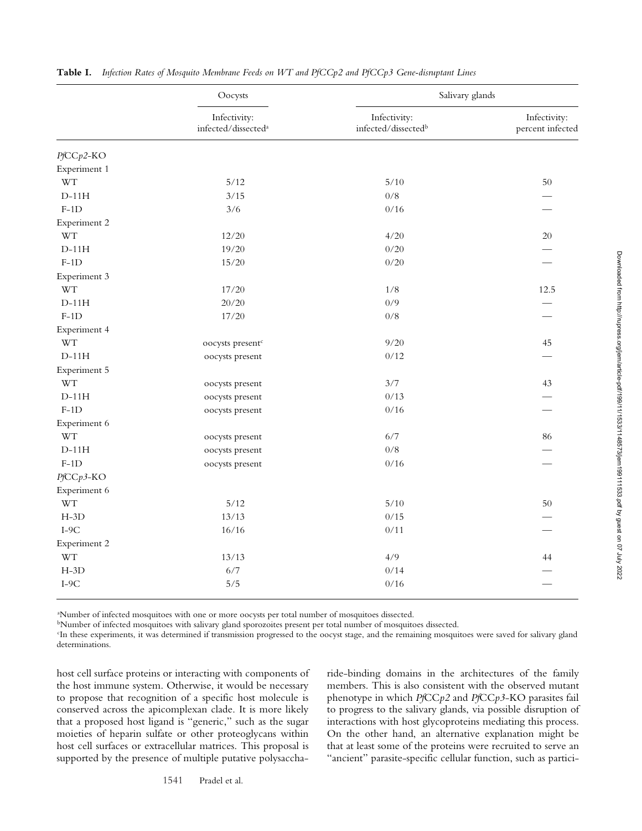|              | Oocysts<br>Infectivity:<br>infected/dissected <sup>a</sup> | Salivary glands                     |                                  |
|--------------|------------------------------------------------------------|-------------------------------------|----------------------------------|
|              |                                                            | Infectivity:<br>infected/dissectedb | Infectivity:<br>percent infected |
| PfCCp2-KO    |                                                            |                                     |                                  |
| Experiment 1 |                                                            |                                     |                                  |
| <b>WT</b>    | $5/12$                                                     | $5/10$                              | 50                               |
| $D-11H$      | 3/15                                                       | $0/8$                               |                                  |
| $F-1D$       | 3/6                                                        | 0/16                                |                                  |
| Experiment 2 |                                                            |                                     |                                  |
| <b>WT</b>    | 12/20                                                      | 4/20                                | 20                               |
| $D-11H$      | 19/20                                                      | 0/20                                |                                  |
| $F-1D$       | 15/20                                                      | 0/20                                |                                  |
| Experiment 3 |                                                            |                                     |                                  |
| <b>WT</b>    | 17/20                                                      | 1/8                                 | 12.5                             |
| $D-11H$      | 20/20                                                      | 0/9                                 |                                  |
| $F-1D$       | 17/20                                                      | $0/8$                               |                                  |
| Experiment 4 |                                                            |                                     |                                  |
| <b>WT</b>    | oocysts present <sup>c</sup>                               | 9/20                                | 45                               |
| $D-11H$      | oocysts present                                            | 0/12                                |                                  |
| Experiment 5 |                                                            |                                     |                                  |
| <b>WT</b>    | oocysts present                                            | 3/7                                 | 43                               |
| $D-11H$      | oocysts present                                            | 0/13                                |                                  |
| $F-1D$       | oocysts present                                            | 0/16                                |                                  |
| Experiment 6 |                                                            |                                     |                                  |
| <b>WT</b>    | oocysts present                                            | $6/7$                               | 86                               |
| $D-11H$      | oocysts present                                            | $0/8$                               |                                  |
| $F-1D$       | oocysts present                                            | 0/16                                |                                  |
| PfCCp3-KO    |                                                            |                                     |                                  |
| Experiment 6 |                                                            |                                     |                                  |
| <b>WT</b>    | $5/12$                                                     | $5/10$                              | 50                               |
| $H-3D$       | 13/13                                                      | 0/15                                |                                  |
| $I-9C$       | 16/16                                                      | 0/11                                |                                  |
| Experiment 2 |                                                            |                                     |                                  |
| <b>WT</b>    | 13/13                                                      | 4/9                                 | 44                               |
| $H-3D$       | 6/7                                                        | 0/14                                |                                  |
| $I-9C$       | 5/5                                                        | 0/16                                |                                  |
|              |                                                            |                                     |                                  |

**Table I.** *Infection Rates of Mosquito Membrane Feeds on WT and PfCCp2 and PfCCp3 Gene-disruptant Lines*

a Number of infected mosquitoes with one or more oocysts per total number of mosquitoes dissected.

bNumber of infected mosquitoes with salivary gland sporozoites present per total number of mosquitoes dissected.

c In these experiments, it was determined if transmission progressed to the oocyst stage, and the remaining mosquitoes were saved for salivary gland determinations.

host cell surface proteins or interacting with components of the host immune system. Otherwise, it would be necessary to propose that recognition of a specific host molecule is conserved across the apicomplexan clade. It is more likely that a proposed host ligand is "generic," such as the sugar moieties of heparin sulfate or other proteoglycans within host cell surfaces or extracellular matrices. This proposal is supported by the presence of multiple putative polysaccharide-binding domains in the architectures of the family members. This is also consistent with the observed mutant phenotype in which *Pf*CC*p2* and *Pf*CC*p3*-KO parasites fail to progress to the salivary glands, via possible disruption of interactions with host glycoproteins mediating this process. On the other hand, an alternative explanation might be that at least some of the proteins were recruited to serve an "ancient" parasite-specific cellular function, such as partici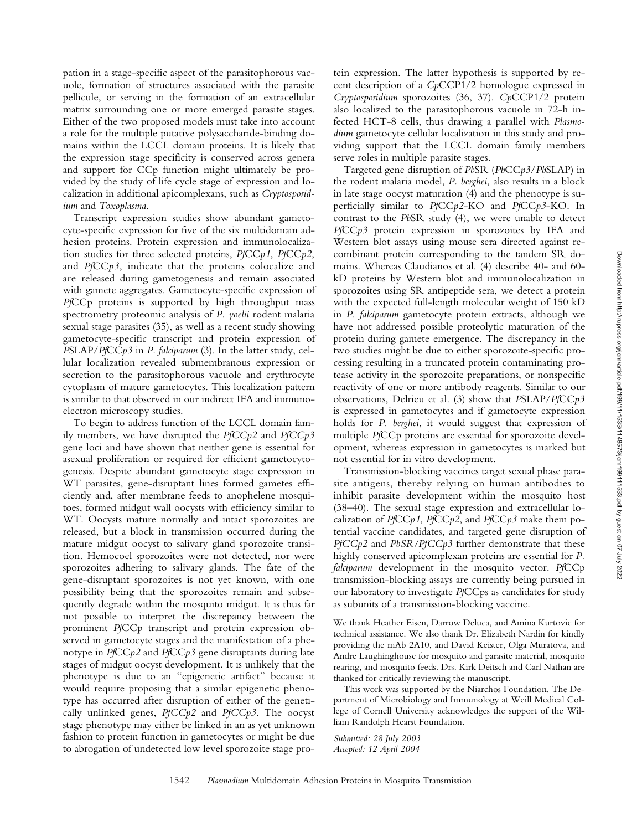pation in a stage-specific aspect of the parasitophorous vacuole, formation of structures associated with the parasite pellicule, or serving in the formation of an extracellular matrix surrounding one or more emerged parasite stages. Either of the two proposed models must take into account a role for the multiple putative polysaccharide-binding domains within the LCCL domain proteins. It is likely that the expression stage specificity is conserved across genera and support for CCp function might ultimately be provided by the study of life cycle stage of expression and localization in additional apicomplexans, such as *Cryptosporidium* and *Toxoplasma*.

Transcript expression studies show abundant gametocyte-specific expression for five of the six multidomain adhesion proteins. Protein expression and immunolocalization studies for three selected proteins, *Pf*CC*p1*, *Pf*CC*p2*, and *Pf*CC*p3*, indicate that the proteins colocalize and are released during gametogenesis and remain associated with gamete aggregates. Gametocyte-specific expression of *Pf*CCp proteins is supported by high throughput mass spectrometry proteomic analysis of *P. yoelii* rodent malaria sexual stage parasites (35), as well as a recent study showing gametocyte-specific transcript and protein expression of *P*SLAP/*Pf*CC*p3* in *P. falciparum* (3). In the latter study, cellular localization revealed submembranous expression or secretion to the parasitophorous vacuole and erythrocyte cytoplasm of mature gametocytes. This localization pattern is similar to that observed in our indirect IFA and immunoelectron microscopy studies.

To begin to address function of the LCCL domain family members, we have disrupted the *PfCCp2* and *PfCCp3* gene loci and have shown that neither gene is essential for asexual proliferation or required for efficient gametocytogenesis. Despite abundant gametocyte stage expression in WT parasites, gene-disruptant lines formed gametes efficiently and, after membrane feeds to anophelene mosquitoes, formed midgut wall oocysts with efficiency similar to WT. Oocysts mature normally and intact sporozoites are released, but a block in transmission occurred during the mature midgut oocyst to salivary gland sporozoite transition. Hemocoel sporozoites were not detected, nor were sporozoites adhering to salivary glands. The fate of the gene-disruptant sporozoites is not yet known, with one possibility being that the sporozoites remain and subsequently degrade within the mosquito midgut. It is thus far not possible to interpret the discrepancy between the prominent *Pf*CCp transcript and protein expression observed in gametocyte stages and the manifestation of a phenotype in *Pf*CC*p2* and *Pf*CC*p3* gene disruptants during late stages of midgut oocyst development. It is unlikely that the phenotype is due to an "epigenetic artifact" because it would require proposing that a similar epigenetic phenotype has occurred after disruption of either of the genetically unlinked genes, *PfCCp2* and *PfCCp3*. The oocyst stage phenotype may either be linked in an as yet unknown fashion to protein function in gametocytes or might be due to abrogation of undetected low level sporozoite stage protein expression. The latter hypothesis is supported by recent description of a *Cp*CCP1/2 homologue expressed in *Cryptosporidium* sporozoites (36, 37). *Cp*CCP1/2 protein also localized to the parasitophorous vacuole in 72-h infected HCT-8 cells, thus drawing a parallel with *Plasmodium* gametocyte cellular localization in this study and providing support that the LCCL domain family members serve roles in multiple parasite stages.

Targeted gene disruption of *Pb*SR (*Pb*CC*p3*/*Pb*SLAP) in the rodent malaria model, *P. berghei*, also results in a block in late stage oocyst maturation (4) and the phenotype is superficially similar to *Pf*CC*p2*-KO and *Pf*CC*p3*-KO. In contrast to the *Pb*SR study (4), we were unable to detect *Pf*CC*p3* protein expression in sporozoites by IFA and Western blot assays using mouse sera directed against recombinant protein corresponding to the tandem SR domains. Whereas Claudianos et al. (4) describe 40- and 60 kD proteins by Western blot and immunolocalization in sporozoites using SR antipeptide sera, we detect a protein with the expected full-length molecular weight of 150 kD in *P. falciparum* gametocyte protein extracts, although we have not addressed possible proteolytic maturation of the protein during gamete emergence. The discrepancy in the two studies might be due to either sporozoite-specific processing resulting in a truncated protein contaminating protease activity in the sporozoite preparations, or nonspecific reactivity of one or more antibody reagents. Similar to our observations, Delrieu et al. (3) show that *P*SLAP/*Pf*CC*p3* is expressed in gametocytes and if gametocyte expression holds for *P. berghei*, it would suggest that expression of multiple *Pf*CCp proteins are essential for sporozoite development, whereas expression in gametocytes is marked but not essential for in vitro development.

Transmission-blocking vaccines target sexual phase parasite antigens, thereby relying on human antibodies to inhibit parasite development within the mosquito host (38–40). The sexual stage expression and extracellular localization of *Pf*CC*p1*, *Pf*CC*p2*, and *Pf*CC*p3* make them potential vaccine candidates, and targeted gene disruption of *PfCCp2* and *PbSR/PfCCp3* further demonstrate that these highly conserved apicomplexan proteins are essential for *P. falciparum* development in the mosquito vector. *Pf*CCp transmission-blocking assays are currently being pursued in our laboratory to investigate *Pf*CCps as candidates for study as subunits of a transmission-blocking vaccine.

We thank Heather Eisen, Darrow Deluca, and Amina Kurtovic for technical assistance. We also thank Dr. Elizabeth Nardin for kindly providing the mAb 2A10, and David Keister, Olga Muratova, and Andre Laughinghouse for mosquito and parasite material, mosquito rearing, and mosquito feeds. Drs. Kirk Deitsch and Carl Nathan are thanked for critically reviewing the manuscript.

This work was supported by the Niarchos Foundation. The Department of Microbiology and Immunology at Weill Medical College of Cornell University acknowledges the support of the William Randolph Hearst Foundation.

*Submitted: 28 July 2003 Accepted: 12 April 2004*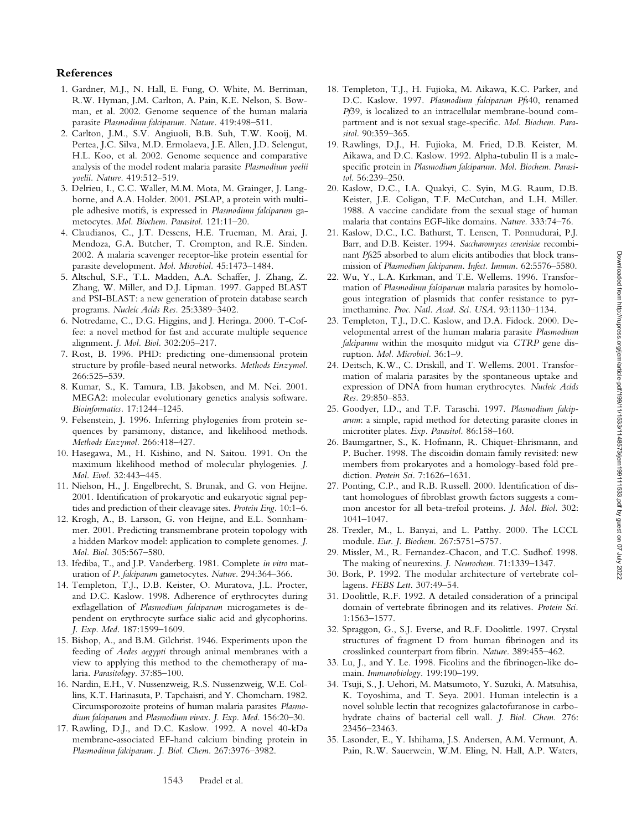- 1. Gardner, M.J., N. Hall, E. Fung, O. White, M. Berriman, R.W. Hyman, J.M. Carlton, A. Pain, K.E. Nelson, S. Bowman, et al. 2002. Genome sequence of the human malaria parasite *Plasmodium falciparum. Nature.* 419:498–511.
- 2. Carlton, J.M., S.V. Angiuoli, B.B. Suh, T.W. Kooij, M. Pertea, J.C. Silva, M.D. Ermolaeva, J.E. Allen, J.D. Selengut, H.L. Koo, et al. 2002. Genome sequence and comparative analysis of the model rodent malaria parasite *Plasmodium yoelii yoelii. Nature.* 419:512–519.
- 3. Delrieu, I., C.C. Waller, M.M. Mota, M. Grainger, J. Langhorne, and A.A. Holder. 2001. *P*SLAP, a protein with multiple adhesive motifs, is expressed in *Plasmodium falciparum* gametocytes. *Mol. Biochem. Parasitol.* 121:11–20.
- 4. Claudianos, C., J.T. Dessens, H.E. Trueman, M. Arai, J. Mendoza, G.A. Butcher, T. Crompton, and R.E. Sinden. 2002. A malaria scavenger receptor-like protein essential for parasite development. *Mol. Microbiol.* 45:1473–1484.
- 5. Altschul, S.F., T.L. Madden, A.A. Schaffer, J. Zhang, Z. Zhang, W. Miller, and D.J. Lipman. 1997. Gapped BLAST and PSI-BLAST: a new generation of protein database search programs. *Nucleic Acids Res.* 25:3389–3402.
- 6. Notredame, C., D.G. Higgins, and J. Heringa. 2000. T-Coffee: a novel method for fast and accurate multiple sequence alignment. *J. Mol. Biol.* 302:205–217.
- 7. Rost, B. 1996. PHD: predicting one-dimensional protein structure by profile-based neural networks. *Methods Enzymol.* 266:525–539.
- 8. Kumar, S., K. Tamura, I.B. Jakobsen, and M. Nei. 2001. MEGA2: molecular evolutionary genetics analysis software. *Bioinformatics.* 17:1244–1245.
- 9. Felsenstein, J. 1996. Inferring phylogenies from protein sequences by parsimony, distance, and likelihood methods. *Methods Enzymol.* 266:418–427.
- 10. Hasegawa, M., H. Kishino, and N. Saitou. 1991. On the maximum likelihood method of molecular phylogenies. *J. Mol. Evol.* 32:443–445.
- 11. Nielson, H., J. Engelbrecht, S. Brunak, and G. von Heijne. 2001. Identification of prokaryotic and eukaryotic signal peptides and prediction of their cleavage sites. *Protein Eng.* 10:1–6.
- 12. Krogh, A., B. Larsson, G. von Heijne, and E.L. Sonnhammer. 2001. Predicting transmembrane protein topology with a hidden Markov model: application to complete genomes. *J. Mol. Biol.* 305:567–580.
- 13. Ifediba, T., and J.P. Vanderberg. 1981. Complete *in vitro* maturation of *P. falciparum* gametocytes. *Nature.* 294:364–366.
- 14. Templeton, T.J., D.B. Keister, O. Muratova, J.L. Procter, and D.C. Kaslow. 1998. Adherence of erythrocytes during exflagellation of *Plasmodium falciparum* microgametes is dependent on erythrocyte surface sialic acid and glycophorins. *J. Exp. Med.* 187:1599–1609.
- 15. Bishop, A., and B.M. Gilchrist. 1946. Experiments upon the feeding of *Aedes aegypti* through animal membranes with a view to applying this method to the chemotherapy of malaria. *Parasitology.* 37:85–100.
- 16. Nardin, E.H., V. Nussenzweig, R.S. Nussenzweig, W.E. Collins, K.T. Harinasuta, P. Tapchaisri, and Y. Chomcharn. 1982. Circumsporozoite proteins of human malaria parasites *Plasmodium falciparum* and *Plasmodium vivax. J. Exp. Med.* 156:20–30.
- 17. Rawling, D.J., and D.C. Kaslow. 1992. A novel 40-kDa membrane-associated EF-hand calcium binding protein in *Plasmodium falciparum. J. Biol. Chem.* 267:3976–3982.
- 18. Templeton, T.J., H. Fujioka, M. Aikawa, K.C. Parker, and D.C. Kaslow. 1997. *Plasmodium falciparum Pf*s40, renamed *Pf*39, is localized to an intracellular membrane-bound compartment and is not sexual stage-specific. *Mol. Biochem. Parasitol.* 90:359–365.
- 19. Rawlings, D.J., H. Fujioka, M. Fried, D.B. Keister, M. Aikawa, and D.C. Kaslow. 1992. Alpha-tubulin II is a malespecific protein in *Plasmodium falciparum. Mol. Biochem. Parasitol.* 56:239–250.
- 20. Kaslow, D.C., I.A. Quakyi, C. Syin, M.G. Raum, D.B. Keister, J.E. Coligan, T.F. McCutchan, and L.H. Miller. 1988. A vaccine candidate from the sexual stage of human malaria that contains EGF-like domains. *Nature.* 333:74–76.
- 21. Kaslow, D.C., I.C. Bathurst, T. Lensen, T. Ponnudurai, P.J. Barr, and D.B. Keister. 1994. *Saccharomyces cerevisiae* recombinant *Pf*s25 absorbed to alum elicits antibodies that block transmission of *Plasmodium falciparum*. *Infect. Immun.* 62:5576–5580.
- 22. Wu, Y., L.A. Kirkman, and T.E. Wellems. 1996. Transformation of *Plasmodium falciparum* malaria parasites by homologous integration of plasmids that confer resistance to pyrimethamine. *Proc. Natl. Acad. Sci. USA.* 93:1130–1134.
- 23. Templeton, T.J., D.C. Kaslow, and D.A. Fidock. 2000. Developmental arrest of the human malaria parasite *Plasmodium falciparum* within the mosquito midgut via *CTRP* gene disruption. *Mol. Microbiol.* 36:1–9.
- 24. Deitsch, K.W., C. Driskill, and T. Wellems. 2001. Transformation of malaria parasites by the spontaneous uptake and expression of DNA from human erythrocytes. *Nucleic Acids Res.* 29:850–853.
- 25. Goodyer, I.D., and T.F. Taraschi. 1997. *Plasmodium falciparum*: a simple, rapid method for detecting parasite clones in microtiter plates. *Exp. Parasitol.* 86:158–160.
- 26. Baumgartner, S., K. Hofmann, R. Chiquet-Ehrismann, and P. Bucher. 1998. The discoidin domain family revisited: new members from prokaryotes and a homology-based fold prediction. *Protein Sci.* 7:1626–1631.
- 27. Ponting, C.P., and R.B. Russell. 2000. Identification of distant homologues of fibroblast growth factors suggests a common ancestor for all beta-trefoil proteins. *J. Mol. Biol.* 302: 1041–1047.
- 28. Trexler, M., L. Banyai, and L. Patthy. 2000. The LCCL module. *Eur. J. Biochem.* 267:5751–5757.
- 29. Missler, M., R. Fernandez-Chacon, and T.C. Sudhof. 1998. The making of neurexins. *J. Neurochem.* 71:1339–1347.
- 30. Bork, P. 1992. The modular architecture of vertebrate collagens. *FEBS Lett.* 307:49–54.
- 31. Doolittle, R.F. 1992. A detailed consideration of a principal domain of vertebrate fibrinogen and its relatives. *Protein Sci.* 1:1563–1577.
- 32. Spraggon, G., S.J. Everse, and R.F. Doolittle. 1997. Crystal structures of fragment D from human fibrinogen and its crosslinked counterpart from fibrin. *Nature.* 389:455–462.
- 33. Lu, J., and Y. Le. 1998. Ficolins and the fibrinogen-like domain. *Immunobiology.* 199:190–199.
- 34. Tsuji, S., J. Uehori, M. Matsumoto, Y. Suzuki, A. Matsuhisa, K. Toyoshima, and T. Seya. 2001. Human intelectin is a novel soluble lectin that recognizes galactofuranose in carbohydrate chains of bacterial cell wall. *J. Biol. Chem.* 276: 23456–23463.
- 35. Lasonder, E., Y. Ishihama, J.S. Andersen, A.M. Vermunt, A. Pain, R.W. Sauerwein, W.M. Eling, N. Hall, A.P. Waters,